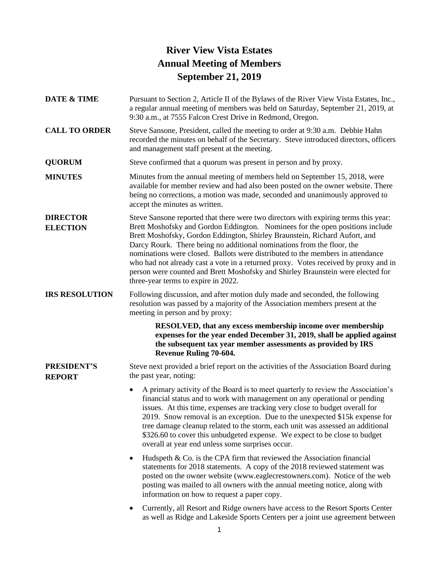## **River View Vista Estates Annual Meeting of Members September 21, 2019**

- **DATE & TIME** Pursuant to Section 2, Article II of the Bylaws of the River View Vista Estates, Inc., a regular annual meeting of members was held on Saturday, September 21, 2019, at 9:30 a.m., at 7555 Falcon Crest Drive in Redmond, Oregon.
- **CALL TO ORDER** Steve Sansone, President, called the meeting to order at 9:30 a.m. Debbie Hahn recorded the minutes on behalf of the Secretary. Steve introduced directors, officers and management staff present at the meeting.
- **QUORUM** Steve confirmed that a quorum was present in person and by proxy.
- **MINUTES** Minutes from the annual meeting of members held on September 15, 2018, were available for member review and had also been posted on the owner website. There being no corrections, a motion was made, seconded and unanimously approved to accept the minutes as written.
- **DIRECTOR ELECTION** Steve Sansone reported that there were two directors with expiring terms this year: Brett Moshofsky and Gordon Eddington. Nominees for the open positions include Brett Moshofsky, Gordon Eddington, Shirley Braunstein, Richard Aufort, and Darcy Rourk. There being no additional nominations from the floor, the nominations were closed. Ballots were distributed to the members in attendance who had not already cast a vote in a returned proxy. Votes received by proxy and in person were counted and Brett Moshofsky and Shirley Braunstein were elected for three-year terms to expire in 2022.

**IRS RESOLUTION** Following discussion, and after motion duly made and seconded, the following resolution was passed by a majority of the Association members present at the meeting in person and by proxy:

> **RESOLVED, that any excess membership income over membership expenses for the year ended December 31, 2019, shall be applied against the subsequent tax year member assessments as provided by IRS Revenue Ruling 70-604.**

**PRESIDENT'S REPORT** Steve next provided a brief report on the activities of the Association Board during the past year, noting:

- A primary activity of the Board is to meet quarterly to review the Association's financial status and to work with management on any operational or pending issues. At this time, expenses are tracking very close to budget overall for 2019. Snow removal is an exception. Due to the unexpected \$15k expense for tree damage cleanup related to the storm, each unit was assessed an additional \$326.60 to cover this unbudgeted expense. We expect to be close to budget overall at year end unless some surprises occur.
- Hudspeth  $& Co.$  is the CPA firm that reviewed the Association financial statements for 2018 statements. A copy of the 2018 reviewed statement was posted on the owner website [\(www.eaglecrestowners.com\)](http://www.eaglecrestowners.com/). Notice of the web posting was mailed to all owners with the annual meeting notice, along with information on how to request a paper copy.
- Currently, all Resort and Ridge owners have access to the Resort Sports Center as well as Ridge and Lakeside Sports Centers per a joint use agreement between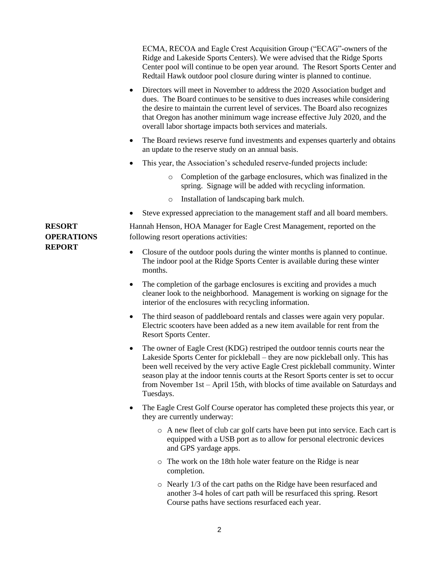|                                    | ECMA, RECOA and Eagle Crest Acquisition Group ("ECAG"-owners of the<br>Ridge and Lakeside Sports Centers). We were advised that the Ridge Sports<br>Center pool will continue to be open year around. The Resort Sports Center and<br>Redtail Hawk outdoor pool closure during winter is planned to continue.                                                                                                                              |
|------------------------------------|--------------------------------------------------------------------------------------------------------------------------------------------------------------------------------------------------------------------------------------------------------------------------------------------------------------------------------------------------------------------------------------------------------------------------------------------|
|                                    | Directors will meet in November to address the 2020 Association budget and<br>٠<br>dues. The Board continues to be sensitive to dues increases while considering<br>the desire to maintain the current level of services. The Board also recognizes<br>that Oregon has another minimum wage increase effective July 2020, and the<br>overall labor shortage impacts both services and materials.                                           |
|                                    | The Board reviews reserve fund investments and expenses quarterly and obtains<br>٠<br>an update to the reserve study on an annual basis.                                                                                                                                                                                                                                                                                                   |
|                                    | This year, the Association's scheduled reserve-funded projects include:<br>٠                                                                                                                                                                                                                                                                                                                                                               |
|                                    | Completion of the garbage enclosures, which was finalized in the<br>$\circ$<br>spring. Signage will be added with recycling information.                                                                                                                                                                                                                                                                                                   |
|                                    | Installation of landscaping bark mulch.<br>$\circ$                                                                                                                                                                                                                                                                                                                                                                                         |
|                                    | Steve expressed appreciation to the management staff and all board members.                                                                                                                                                                                                                                                                                                                                                                |
| <b>RESORT</b><br><b>OPERATIONS</b> | Hannah Henson, HOA Manager for Eagle Crest Management, reported on the<br>following resort operations activities:                                                                                                                                                                                                                                                                                                                          |
| <b>REPORT</b>                      | Closure of the outdoor pools during the winter months is planned to continue.<br>$\bullet$<br>The indoor pool at the Ridge Sports Center is available during these winter<br>months.                                                                                                                                                                                                                                                       |
|                                    | The completion of the garbage enclosures is exciting and provides a much<br>$\bullet$<br>cleaner look to the neighborhood. Management is working on signage for the<br>interior of the enclosures with recycling information.                                                                                                                                                                                                              |
|                                    | The third season of paddleboard rentals and classes were again very popular.<br>٠<br>Electric scooters have been added as a new item available for rent from the<br>Resort Sports Center.                                                                                                                                                                                                                                                  |
|                                    | The owner of Eagle Crest (KDG) restriped the outdoor tennis courts near the<br>٠<br>Lakeside Sports Center for pickleball – they are now pickleball only. This has<br>been well received by the very active Eagle Crest pickleball community. Winter<br>season play at the indoor tennis courts at the Resort Sports center is set to occur<br>from November 1st – April 15th, with blocks of time available on Saturdays and<br>Tuesdays. |
|                                    | The Eagle Crest Golf Course operator has completed these projects this year, or<br>٠<br>they are currently underway:                                                                                                                                                                                                                                                                                                                       |
|                                    | o A new fleet of club car golf carts have been put into service. Each cart is<br>equipped with a USB port as to allow for personal electronic devices<br>and GPS yardage apps.                                                                                                                                                                                                                                                             |
|                                    | The work on the 18th hole water feature on the Ridge is near<br>O<br>completion.                                                                                                                                                                                                                                                                                                                                                           |
|                                    | Nearly 1/3 of the cart paths on the Ridge have been resurfaced and<br>$\circ$<br>another 3-4 holes of cart path will be resurfaced this spring. Resort<br>Course paths have sections resurfaced each year.                                                                                                                                                                                                                                 |